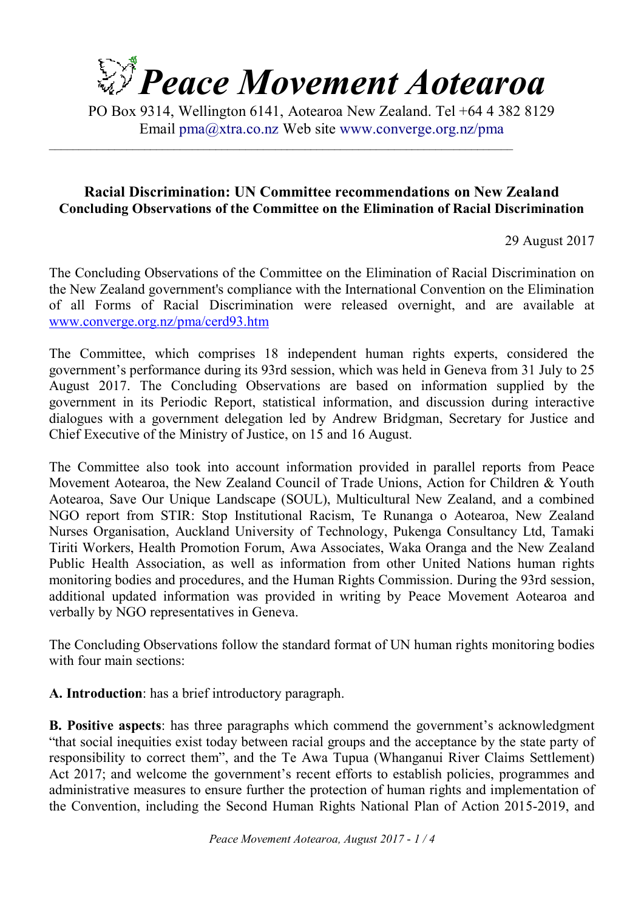

PO Box 9314, Wellington 6141, Aotearoa New Zealand. Tel +64 4 382 8129 Email pma@xtra.co.nz Web site www.converge.org.nz/pma

 $\mathcal{L}_\mathcal{L} = \{ \mathcal{L}_\mathcal{L} = \{ \mathcal{L}_\mathcal{L} = \{ \mathcal{L}_\mathcal{L} = \{ \mathcal{L}_\mathcal{L} = \{ \mathcal{L}_\mathcal{L} = \{ \mathcal{L}_\mathcal{L} = \{ \mathcal{L}_\mathcal{L} = \{ \mathcal{L}_\mathcal{L} = \{ \mathcal{L}_\mathcal{L} = \{ \mathcal{L}_\mathcal{L} = \{ \mathcal{L}_\mathcal{L} = \{ \mathcal{L}_\mathcal{L} = \{ \mathcal{L}_\mathcal{L} = \{ \mathcal{L}_\mathcal{$ 

## **Racial Discrimination: UN Committee recommendations on New Zealand Concluding Observations of the Committee on the Elimination of Racial Discrimination**

29 August 2017

The Concluding Observations of the Committee on the Elimination of Racial Discrimination on the New Zealand government's compliance with the International Convention on the Elimination of all Forms of Racial Discrimination were released overnight, and are available at www.converge.org.nz/pma/cerd93.htm

The Committee, which comprises 18 independent human rights experts, considered the government's performance during its 93rd session, which was held in Geneva from 31 July to 25 August 2017. The Concluding Observations are based on information supplied by the government in its Periodic Report, statistical information, and discussion during interactive dialogues with a government delegation led by Andrew Bridgman, Secretary for Justice and Chief Executive of the Ministry of Justice, on 15 and 16 August.

The Committee also took into account information provided in parallel reports from Peace Movement Aotearoa, the New Zealand Council of Trade Unions, Action for Children & Youth Aotearoa, Save Our Unique Landscape (SOUL), Multicultural New Zealand, and a combined NGO report from STIR: Stop Institutional Racism, Te Runanga o Aotearoa, New Zealand Nurses Organisation, Auckland University of Technology, Pukenga Consultancy Ltd, Tamaki Tiriti Workers, Health Promotion Forum, Awa Associates, Waka Oranga and the New Zealand Public Health Association, as well as information from other United Nations human rights monitoring bodies and procedures, and the Human Rights Commission. During the 93rd session, additional updated information was provided in writing by Peace Movement Aotearoa and verbally by NGO representatives in Geneva.

The Concluding Observations follow the standard format of UN human rights monitoring bodies with four main sections:

**A. Introduction**: has a brief introductory paragraph.

**B. Positive aspects**: has three paragraphs which commend the government's acknowledgment "that social inequities exist today between racial groups and the acceptance by the state party of responsibility to correct them", and the Te Awa Tupua (Whanganui River Claims Settlement) Act 2017; and welcome the government's recent efforts to establish policies, programmes and administrative measures to ensure further the protection of human rights and implementation of the Convention, including the Second Human Rights National Plan of Action 2015-2019, and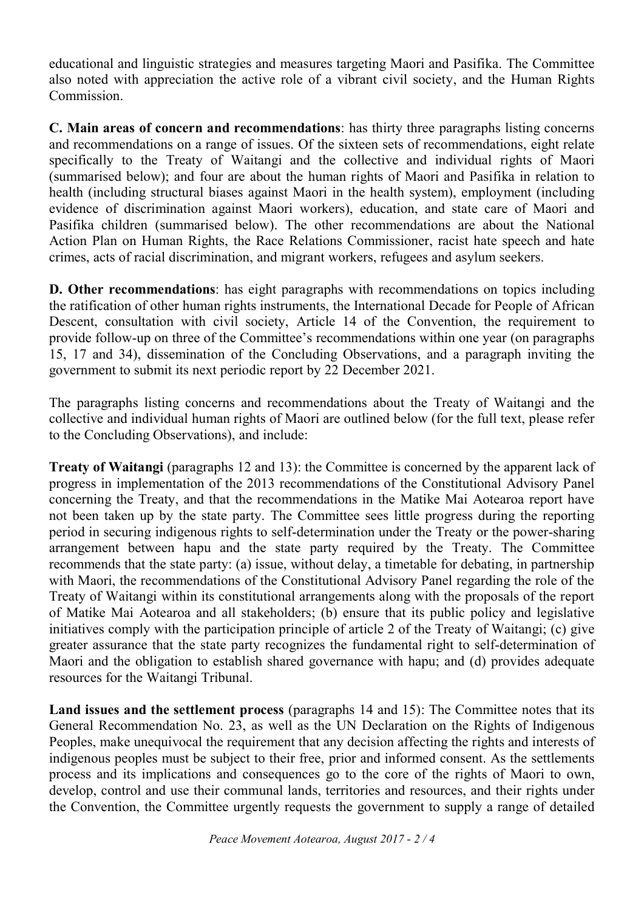educational and linguistic strategies and measures targeting Maori and Pasifika. The Committee also noted with appreciation the active role of a vibrant civil society, and the Human Rights Commission.

**C. Main areas of concern and recommendations**: has thirty three paragraphs listing concerns and recommendations on a range of issues. Of the sixteen sets of recommendations, eight relate specifically to the Treaty of Waitangi and the collective and individual rights of Maori (summarised below); and four are about the human rights of Maori and Pasifika in relation to health (including structural biases against Maori in the health system), employment (including evidence of discrimination against Maori workers), education, and state care of Maori and Pasifika children (summarised below). The other recommendations are about the National Action Plan on Human Rights, the Race Relations Commissioner, racist hate speech and hate crimes, acts of racial discrimination, and migrant workers, refugees and asylum seekers.

**D. Other recommendations**: has eight paragraphs with recommendations on topics including the ratification of other human rights instruments, the International Decade for People of African Descent, consultation with civil society, Article 14 of the Convention, the requirement to provide follow-up on three of the Committee's recommendations within one year (on paragraphs 15, 17 and 34), dissemination of the Concluding Observations, and a paragraph inviting the government to submit its next periodic report by 22 December 2021.

The paragraphs listing concerns and recommendations about the Treaty of Waitangi and the collective and individual human rights of Maori are outlined below (for the full text, please refer to the Concluding Observations), and include:

**Treaty of Waitangi** (paragraphs 12 and 13): the Committee is concerned by the apparent lack of progress in implementation of the 2013 recommendations of the Constitutional Advisory Panel concerning the Treaty, and that the recommendations in the Matike Mai Aotearoa report have not been taken up by the state party. The Committee sees little progress during the reporting period in securing indigenous rights to self-determination under the Treaty or the power-sharing arrangement between hapu and the state party required by the Treaty. The Committee recommends that the state party: (a) issue, without delay, a timetable for debating, in partnership with Maori, the recommendations of the Constitutional Advisory Panel regarding the role of the Treaty of Waitangi within its constitutional arrangements along with the proposals of the report of Matike Mai Aotearoa and all stakeholders; (b) ensure that its public policy and legislative initiatives comply with the participation principle of article 2 of the Treaty of Waitangi; (c) give greater assurance that the state party recognizes the fundamental right to self-determination of Maori and the obligation to establish shared governance with hapu; and (d) provides adequate resources for the Waitangi Tribunal.

**Land issues and the settlement process** (paragraphs 14 and 15): The Committee notes that its General Recommendation No. 23, as well as the UN Declaration on the Rights of Indigenous Peoples, make unequivocal the requirement that any decision affecting the rights and interests of indigenous peoples must be subject to their free, prior and informed consent. As the settlements process and its implications and consequences go to the core of the rights of Maori to own, develop, control and use their communal lands, territories and resources, and their rights under the Convention, the Committee urgently requests the government to supply a range of detailed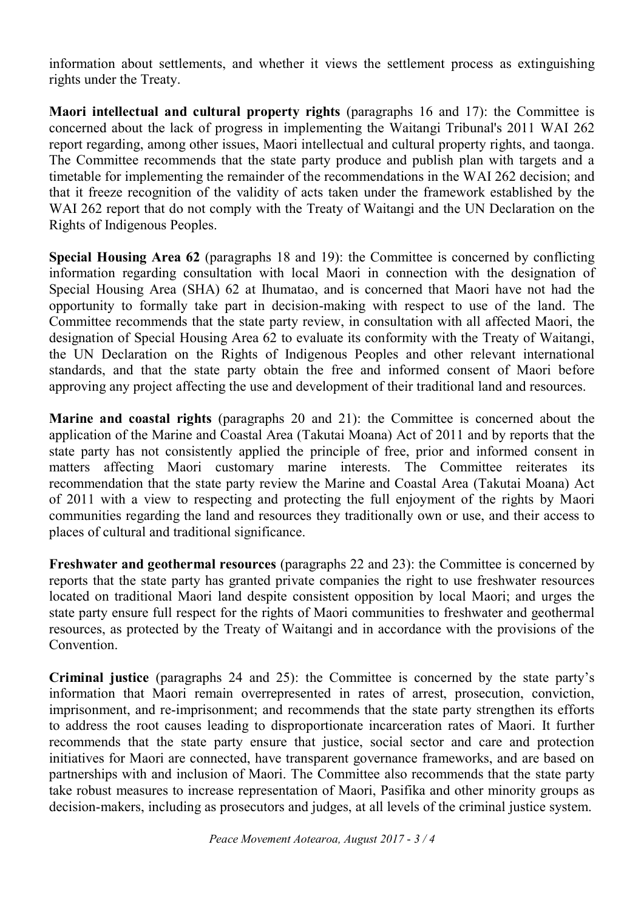information about settlements, and whether it views the settlement process as extinguishing rights under the Treaty.

**Maori intellectual and cultural property rights** (paragraphs 16 and 17): the Committee is concerned about the lack of progress in implementing the Waitangi Tribunal's 2011 WAI 262 report regarding, among other issues, Maori intellectual and cultural property rights, and taonga. The Committee recommends that the state party produce and publish plan with targets and a timetable for implementing the remainder of the recommendations in the WAI 262 decision; and that it freeze recognition of the validity of acts taken under the framework established by the WAI 262 report that do not comply with the Treaty of Waitangi and the UN Declaration on the Rights of Indigenous Peoples.

**Special Housing Area 62** (paragraphs 18 and 19): the Committee is concerned by conflicting information regarding consultation with local Maori in connection with the designation of Special Housing Area (SHA) 62 at Ihumatao, and is concerned that Maori have not had the opportunity to formally take part in decision-making with respect to use of the land. The Committee recommends that the state party review, in consultation with all affected Maori, the designation of Special Housing Area 62 to evaluate its conformity with the Treaty of Waitangi, the UN Declaration on the Rights of Indigenous Peoples and other relevant international standards, and that the state party obtain the free and informed consent of Maori before approving any project affecting the use and development of their traditional land and resources.

**Marine and coastal rights** (paragraphs 20 and 21): the Committee is concerned about the application of the Marine and Coastal Area (Takutai Moana) Act of 2011 and by reports that the state party has not consistently applied the principle of free, prior and informed consent in matters affecting Maori customary marine interests. The Committee reiterates its recommendation that the state party review the Marine and Coastal Area (Takutai Moana) Act of 2011 with a view to respecting and protecting the full enjoyment of the rights by Maori communities regarding the land and resources they traditionally own or use, and their access to places of cultural and traditional significance.

**Freshwater and geothermal resources** (paragraphs 22 and 23): the Committee is concerned by reports that the state party has granted private companies the right to use freshwater resources located on traditional Maori land despite consistent opposition by local Maori; and urges the state party ensure full respect for the rights of Maori communities to freshwater and geothermal resources, as protected by the Treaty of Waitangi and in accordance with the provisions of the Convention.

**Criminal justice** (paragraphs 24 and 25): the Committee is concerned by the state party's information that Maori remain overrepresented in rates of arrest, prosecution, conviction, imprisonment, and re-imprisonment; and recommends that the state party strengthen its efforts to address the root causes leading to disproportionate incarceration rates of Maori. It further recommends that the state party ensure that justice, social sector and care and protection initiatives for Maori are connected, have transparent governance frameworks, and are based on partnerships with and inclusion of Maori. The Committee also recommends that the state party take robust measures to increase representation of Maori, Pasifika and other minority groups as decision-makers, including as prosecutors and judges, at all levels of the criminal justice system.